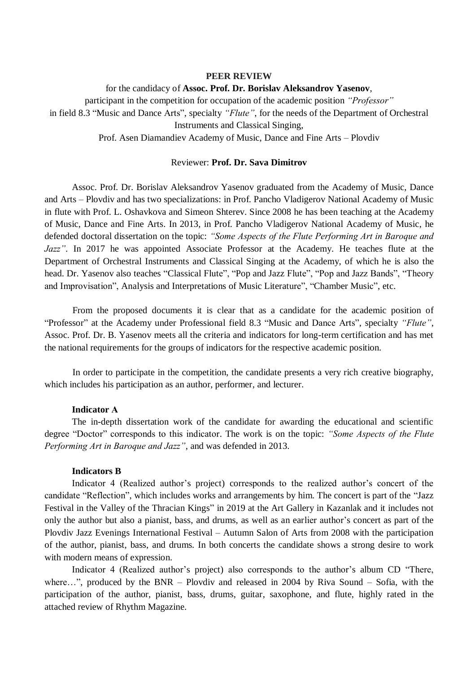### **PEER REVIEW**

#### for the candidacy of **Assoc. Prof. Dr. Borislav Aleksandrov Yasenov**,

participant in the competition for occupation of the academic position *"Professor"*

in field 8.3 "Music and Dance Arts", specialty *"Flute"*, for the needs of the Department of Orchestral Instruments and Classical Singing,

Prof. Asen Diamandiev Academy of Music, Dance and Fine Arts – Plovdiv

## Reviewer: **Prof. Dr. Sava Dimitrov**

Assoc. Prof. Dr. Borislav Aleksandrov Yasenov graduated from the Academy of Music, Dance and Arts – Plovdiv and has two specializations: in Prof. Pancho Vladigerov National Academy of Music in flute with Prof. L. Oshavkova and Simeon Shterev. Since 2008 he has been teaching at the Academy of Music, Dance and Fine Arts. In 2013, in Prof. Pancho Vladigerov National Academy of Music, he defended doctoral dissertation on the topic: *"Some Aspects of the Flute Performing Art in Baroque and Jazz"*. In 2017 he was appointed Associate Professor at the Academy. He teaches flute at the Department of Orchestral Instruments and Classical Singing at the Academy, of which he is also the head. Dr. Yasenov also teaches "Classical Flute", "Pop and Jazz Flute", "Pop and Jazz Bands", "Theory and Improvisation", Analysis and Interpretations of Music Literature", "Chamber Music", etc.

From the proposed documents it is clear that as a candidate for the academic position of "Professor" at the Academy under Professional field 8.3 "Music and Dance Arts", specialty *"Flute"*, Assoc. Prof. Dr. B. Yasenov meets all the criteria and indicators for long-term certification and has met the national requirements for the groups of indicators for the respective academic position.

In order to participate in the competition, the candidate presents a very rich creative biography, which includes his participation as an author, performer, and lecturer.

# **Indicator А**

The in-depth dissertation work of the candidate for awarding the educational and scientific degree "Doctor" corresponds to this indicator. The work is on the topic: *"Some Aspects of the Flute Performing Art in Baroque and Jazz"*, and was defended in 2013.

## **Indicators B**

Indicator 4 (Realized author's project) corresponds to the realized author's concert of the candidate "Reflection", which includes works and arrangements by him. The concert is part of the "Jazz Festival in the Valley of the Thracian Kings" in 2019 at the Art Gallery in Kazanlak and it includes not only the author but also a pianist, bass, and drums, as well as an earlier author's concert as part of the Plovdiv Jazz Evenings International Festival – Autumn Salon of Arts from 2008 with the participation of the author, pianist, bass, and drums. In both concerts the candidate shows a strong desire to work with modern means of expression.

Indicator 4 (Realized author's project) also corresponds to the author's album CD "There, where…", produced by the BNR – Plovdiv and released in 2004 by Riva Sound – Sofia, with the participation of the author, pianist, bass, drums, guitar, saxophone, and flute, highly rated in the attached review of Rhythm Magazine.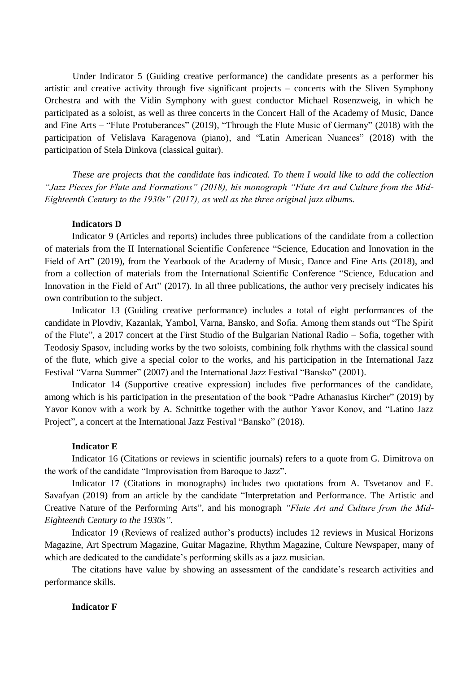Under Indicator 5 (Guiding creative performance) the candidate presents as a performer his artistic and creative activity through five significant projects – concerts with the Sliven Symphony Orchestra and with the Vidin Symphony with guest conductor Michael Rosenzweig, in which he participated as a soloist, as well as three concerts in the Concert Hall of the Academy of Music, Dance and Fine Arts – "Flute Protuberances" (2019), "Through the Flute Music of Germany" (2018) with the participation of Velislava Karagenova (piano), and "Latin American Nuances" (2018) with the participation of Stela Dinkova (classical guitar).

*These are projects that the candidate has indicated. To them I would like to add the collection "Jazz Pieces for Flute and Formations" (2018), his monograph "Flute Art and Culture from the Mid-Eighteenth Century to the 1930s" (2017), as well as the three original jazz albums.*

## **Indicators D**

Indicator 9 (Articles and reports) includes three publications of the candidate from a collection of materials from the II International Scientific Conference "Science, Education and Innovation in the Field of Art" (2019), from the Yearbook of the Academy of Music, Dance and Fine Arts (2018), and from a collection of materials from the International Scientific Conference "Science, Education and Innovation in the Field of Art" (2017). In all three publications, the author very precisely indicates his own contribution to the subject.

Indicator 13 (Guiding creative performance) includes a total of eight performances of the candidate in Plovdiv, Kazanlak, Yambol, Varna, Bansko, and Sofia. Among them stands out "The Spirit of the Flute", a 2017 concert at the First Studio of the Bulgarian National Radio – Sofia, together with Teodosiy Spasov, including works by the two soloists, combining folk rhythms with the classical sound of the flute, which give a special color to the works, and his participation in the International Jazz Festival "Varna Summer" (2007) and the International Jazz Festival "Bansko" (2001).

Indicator 14 (Supportive creative expression) includes five performances of the candidate, among which is his participation in the presentation of the book "Padre Athanasius Kircher" (2019) by Yavor Konov with a work by A. Schnittke together with the author Yavor Konov, and "Latino Jazz Project", a concert at the International Jazz Festival "Bansko" (2018).

### **Indicator E**

Indicator 16 (Citations or reviews in scientific journals) refers to a quote from G. Dimitrova on the work of the candidate "Improvisation from Baroque to Jazz".

Indicator 17 (Citations in monographs) includes two quotations from A. Tsvetanov and E. Savafyan (2019) from an article by the candidate "Interpretation and Performance. The Artistic and Creative Nature of the Performing Arts", and his monograph *"Flute Art and Culture from the Mid-Eighteenth Century to the 1930s"*.

Indicator 19 (Reviews of realized author's products) includes 12 reviews in Musical Horizons Magazine, Art Spectrum Magazine, Guitar Magazine, Rhythm Magazine, Culture Newspaper, many of which are dedicated to the candidate's performing skills as a jazz musician.

The citations have value by showing an assessment of the candidate's research activities and performance skills.

# **Indicator F**